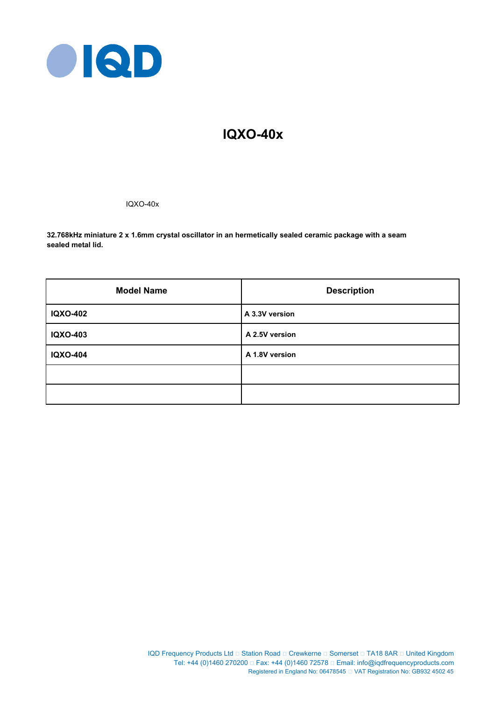

# **IQXO-40x**

IQXO-40x

**32.768kHz miniature 2 x 1.6mm crystal oscillator in an hermetically sealed ceramic package with a seam sealed metal lid.**

| <b>Model Name</b> | <b>Description</b> |
|-------------------|--------------------|
| <b>IQXO-402</b>   | A 3.3V version     |
| <b>IQXO-403</b>   | A 2.5V version     |
| <b>IQXO-404</b>   | A 1.8V version     |
|                   |                    |
|                   |                    |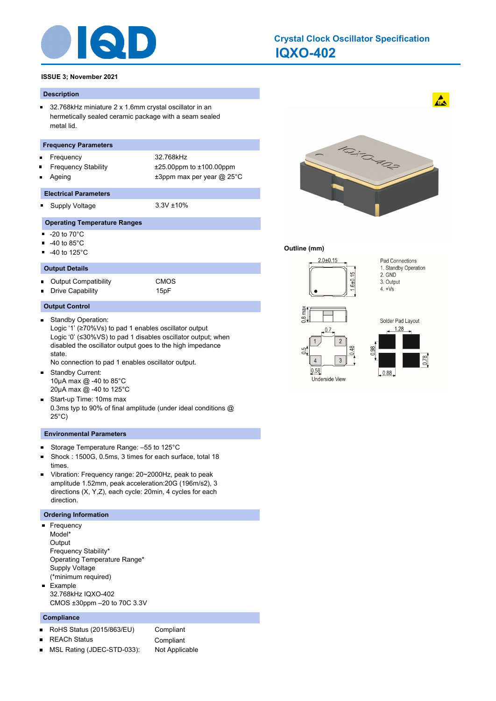

#### **IQXO-402 Crystal Clock Oscillator Specification**

#### **ISSUE 3; November 2021**

#### **Description**

 $\blacksquare$ 32.768kHz miniature 2 x 1.6mm crystal oscillator in an hermetically sealed ceramic package with a seam sealed metal lid.

#### **Frequency Parameters**

- Frequency 32.768kHz
- 
- Frequency Stability ±25.00ppm to ±100.00ppm

#### **Electrical Parameters**

- o. Supply Voltage 3.3V ±10%
- Ageing  $\qquad \qquad \pm 3$ ppm max per year @ 25°C

#### **Operating Temperature Ranges**

- -20 to 70°C Ξ
- -40 to 85°C  $\blacksquare$
- -40 to 125°C

#### **Output Details**

Output Compatibility CMOS  $\blacksquare$ Drive Capability **15pF** 

#### **Output Control**

- Standby Operation:  $\blacksquare$ Logic '1' (≥70%Vs) to pad 1 enables oscillator output Logic '0' (≤30%VS) to pad 1 disables oscillator output; when disabled the oscillator output goes to the high impedance state.
	- No connection to pad 1 enables oscillator output.
- Standby Current:  $\blacksquare$ 10μA max @ -40 to 85°C 20μA max @ -40 to 125°C
- Start-up Time: 10ms max 0.3ms typ to 90% of final amplitude (under ideal conditions @ 25°C)

#### **Environmental Parameters**

- Storage Temperature Range: –55 to 125°C  $\blacksquare$
- $\blacksquare$ Shock : 1500G, 0.5ms, 3 times for each surface, total 18 times.
- $\blacksquare$ Vibration: Frequency range: 20~2000Hz, peak to peak amplitude 1.52mm, peak acceleration:20G (196m/s2), 3 directions (X, Y,Z), each cycle: 20min, 4 cycles for each direction.

#### **Ordering Information**

- **Frequency** Model\* **Output** Frequency Stability\* Operating Temperature Range\* Supply Voltage (\*minimum required)
- **Example** 32.768kHz IQXO-402 CMOS ±30ppm –20 to 70C 3.3V

#### **Compliance**

- $\blacksquare$ RoHS Status (2015/863/EU) Compliant
	- REACh Status **Compliant**
- MSL Rating (JDEC-STD-033): Not Applicable $\blacksquare$



#### **Outline (mm)**





 $\mathbf{A}$ 



Underside View

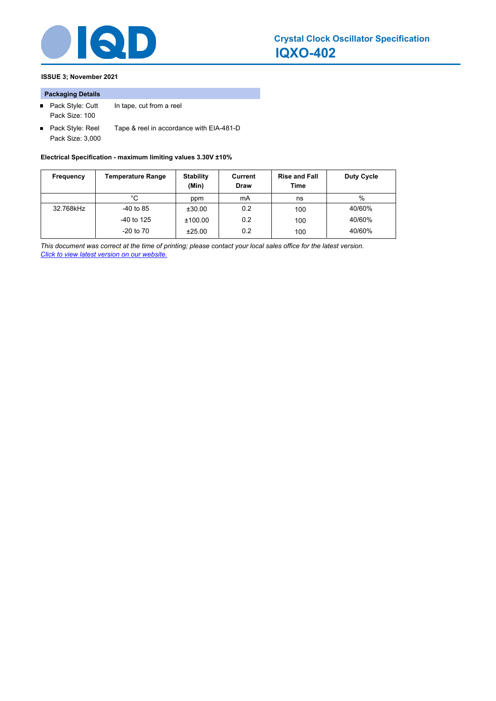

### **ISSUE 3; November 2021**

#### **Packaging Details**

- Pack Style: Cutt In tape, cut from a reel Pack Size: 100
- Pack Style: Reel Tape & reel in accordance with EIA-481-D Pack Size: 3,000

**Electrical Specification - maximum limiting values 3.30V ±10%**

| Frequency | <b>Temperature Range</b> | <b>Stability</b><br>(Min) | Current<br><b>Draw</b> | <b>Rise and Fall</b><br>Time | Duty Cycle |
|-----------|--------------------------|---------------------------|------------------------|------------------------------|------------|
|           | °C                       | ppm                       | mA                     | ns                           | %          |
| 32.768kHz | $-40$ to 85              | ±30.00                    | 0.2                    | 100                          | 40/60%     |
|           | $-40$ to 125             | ±100.00                   | 0.2                    | 100                          | 40/60%     |
|           | $-20$ to $70$            | ±25.00                    | 0.2                    | 100                          | 40/60%     |

*This document was correct at the time of printing; please contact your local sales office for the latest version. Click to view latest version on our website.*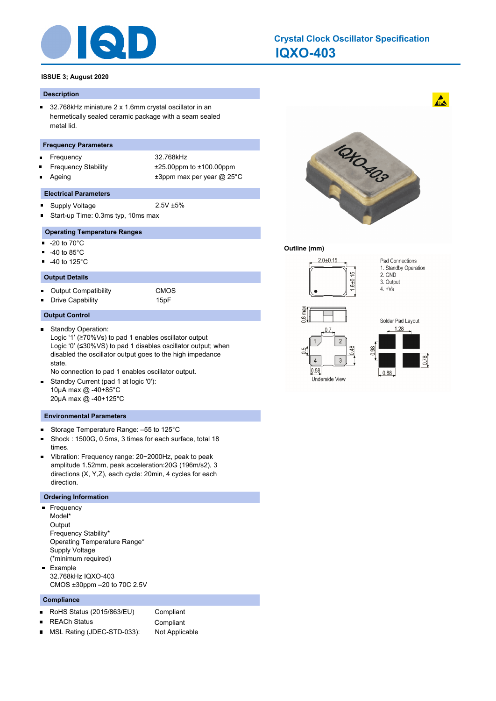

## **IQXO-403 Crystal Clock Oscillator Specification**

#### **ISSUE 3; August 2020**

#### **Description**

 $\blacksquare$ 32.768kHz miniature 2 x 1.6mm crystal oscillator in an hermetically sealed ceramic package with a seam sealed metal lid.

#### **Frequency Parameters**

- Frequency 32.768kHz
- 
- Frequency Stability ±25.00ppm to ±100.00ppm
- Ageing  $\qquad \qquad \pm 3$ ppm max per year @ 25°C

#### **Electrical Parameters**

- $\blacksquare$ Supply Voltage 2.5V ±5%
- Start-up Time: 0.3ms typ, 10ms max  $\blacksquare$

#### **Operating Temperature Ranges**

- -20 to 70°C  $\blacksquare$
- -40 to 85°C
- $\blacksquare$ -40 to 125°C

#### **Output Details**

Output Compatibility CMOS  $\blacksquare$  $\blacksquare$ Drive Capability 15pF

**Output Control**

 $\blacksquare$ 

Standby Operation: Logic '1' (≥70%Vs) to pad 1 enables oscillator output Logic '0' (≤30%VS) to pad 1 disables oscillator output; when disabled the oscillator output goes to the high impedance state.

No connection to pad 1 enables oscillator output.

Standby Current (pad 1 at logic '0'):  $\blacksquare$ 10μA max @ -40+85°C 20μA max @ -40+125°C

#### **Environmental Parameters**

- Storage Temperature Range: –55 to 125°C  $\blacksquare$
- Shock : 1500G, 0.5ms, 3 times for each surface, total 18  $\blacksquare$ times.
- $\blacksquare$ Vibration: Frequency range: 20~2000Hz, peak to peak amplitude 1.52mm, peak acceleration:20G (196m/s2), 3 directions (X, Y,Z), each cycle: 20min, 4 cycles for each direction.

#### **Ordering Information**

- Frequency  $\blacksquare$ Model\* **Output** Frequency Stability\* Operating Temperature Range\* Supply Voltage (\*minimum required) Example  $\blacksquare$
- 32.768kHz IQXO-403 CMOS ±30ppm –20 to 70C 2.5V

#### **Compliance**

|                | RoHS Status $(2015/863/EU)$ | Compliant      |
|----------------|-----------------------------|----------------|
|                | $\blacksquare$ REACh Status | Compliant      |
| $\blacksquare$ | MSL Rating (JDEC-STD-033):  | Not Applicable |



#### **Outline (mm)**









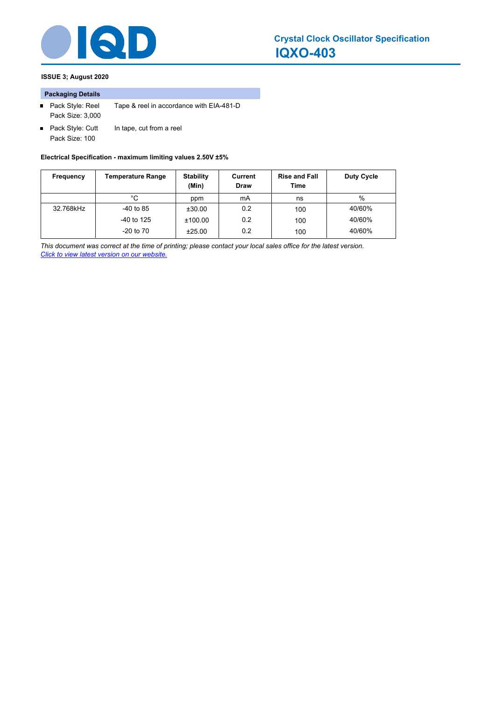

### **ISSUE 3; August 2020**

#### **Packaging Details**

- Pack Style: Reel Tape & reel in accordance with EIA-481-D Pack Size: 3,000
- Pack Style: Cutt In tape, cut from a reel Pack Size: 100

#### **Electrical Specification - maximum limiting values 2.50V ±5%**

| Frequency | Temperature Range | <b>Stability</b><br>(Min) | Current<br><b>Draw</b> | <b>Rise and Fall</b><br>Time | Duty Cycle |
|-----------|-------------------|---------------------------|------------------------|------------------------------|------------|
|           | °C                | ppm                       | mA                     | ns                           | %          |
| 32.768kHz | $-40$ to 85       | ±30.00                    | 0.2                    | 100                          | 40/60%     |
|           | $-40$ to 125      | ±100.00                   | 0.2                    | 100                          | 40/60%     |
|           | $-20$ to $70$     | ±25.00                    | 0.2                    | 100                          | 40/60%     |

*This document was correct at the time of printing; please contact your local sales office for the latest version. Click to view latest version on our website.*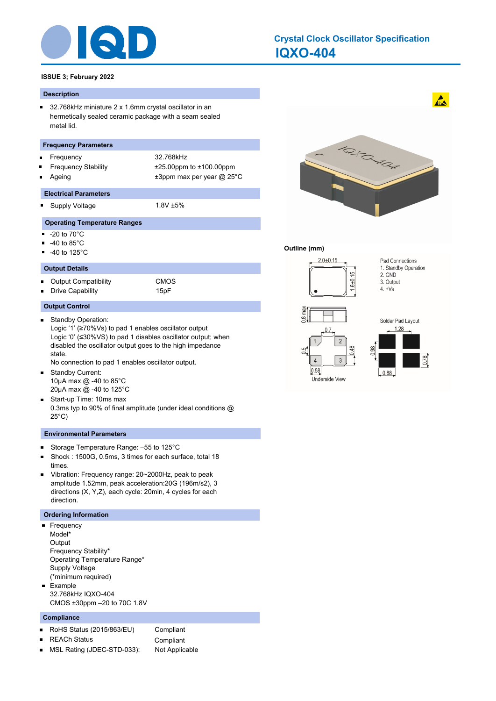

#### **IQXO-404 Crystal Clock Oscillator Specification**

#### **ISSUE 3; February 2022**

#### **Description**

 $\blacksquare$ 32.768kHz miniature 2 x 1.6mm crystal oscillator in an hermetically sealed ceramic package with a seam sealed metal lid.

#### **Frequency Parameters**

- Frequency 32.768kHz
- 
- Frequency Stability ±25.00ppm to ±100.00ppm

#### **Electrical Parameters**

- o. Supply Voltage 1.8V ±5%
- Ageing  $\qquad \qquad \pm 3$ ppm max per year @ 25°C

#### **Operating Temperature Ranges**

- -20 to 70°C Ξ
- -40 to 85°C  $\blacksquare$
- -40 to 125°C

#### **Output Details**

Output Compatibility CMOS  $\blacksquare$ Drive Capability **15pF** 

#### **Output Control**

- Standby Operation:  $\blacksquare$ Logic '1' (≥70%Vs) to pad 1 enables oscillator output Logic '0' (≤30%VS) to pad 1 disables oscillator output; when disabled the oscillator output goes to the high impedance state.
	- No connection to pad 1 enables oscillator output.
- Standby Current:  $\blacksquare$ 10μA max @ -40 to 85°C 20μA max @ -40 to 125°C
- Start-up Time: 10ms max 0.3ms typ to 90% of final amplitude (under ideal conditions @ 25°C)

#### **Environmental Parameters**

- Storage Temperature Range: –55 to 125°C  $\blacksquare$
- $\blacksquare$ Shock : 1500G, 0.5ms, 3 times for each surface, total 18 times.
- $\blacksquare$ Vibration: Frequency range: 20~2000Hz, peak to peak amplitude 1.52mm, peak acceleration:20G (196m/s2), 3 directions (X, Y,Z), each cycle: 20min, 4 cycles for each direction.

#### **Ordering Information**

- **Frequency** Model\* **Output** Frequency Stability\* Operating Temperature Range\* Supply Voltage (\*minimum required)
- **Example** 32.768kHz IQXO-404 CMOS ±30ppm –20 to 70C 1.8V

#### **Compliance**

- $\blacksquare$ RoHS Status (2015/863/EU) Compliant
	- REACh Status **Compliant**
- MSL Rating (JDEC-STD-033): Not Applicable $\blacksquare$



#### **Outline (mm)**



Underside View



 $\mathbf{A}$